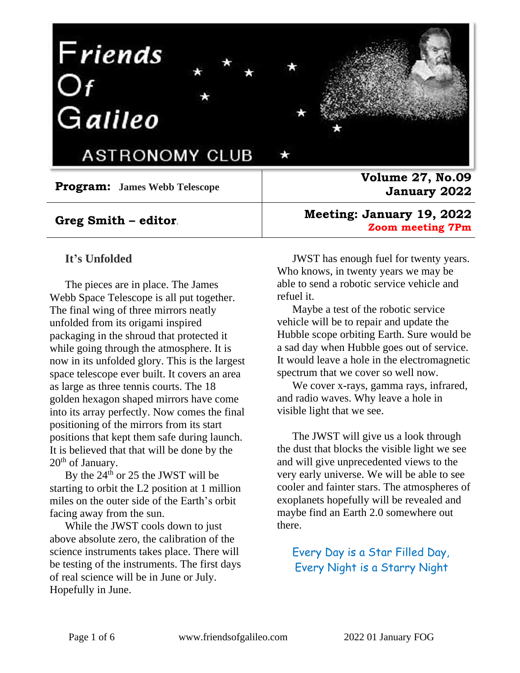# Friends<br>Of<br>Galileo



ASTRONOMY CLUB

**Program: James Webb Telescope**

#### **Greg Smith – editor**.

#### **It's Unfolded**

The pieces are in place. The James Webb Space Telescope is all put together. The final wing of three mirrors neatly unfolded from its origami inspired packaging in the shroud that protected it while going through the atmosphere. It is now in its unfolded glory. This is the largest space telescope ever built. It covers an area as large as three tennis courts. The 18 golden hexagon shaped mirrors have come into its array perfectly. Now comes the final positioning of the mirrors from its start positions that kept them safe during launch. It is believed that that will be done by the  $20<sup>th</sup>$  of January.

By the 24<sup>th</sup> or 25 the JWST will be starting to orbit the L2 position at 1 million miles on the outer side of the Earth's orbit facing away from the sun.

While the JWST cools down to just above absolute zero, the calibration of the science instruments takes place. There will be testing of the instruments. The first days of real science will be in June or July. Hopefully in June.

**Volume 27, No.09 January 2022**

**Meeting: January 19, 2022 Zoom meeting 7Pm** 

JWST has enough fuel for twenty years. Who knows, in twenty years we may be able to send a robotic service vehicle and refuel it.

Maybe a test of the robotic service vehicle will be to repair and update the Hubble scope orbiting Earth. Sure would be a sad day when Hubble goes out of service. It would leave a hole in the electromagnetic spectrum that we cover so well now.

We cover x-rays, gamma rays, infrared, and radio waves. Why leave a hole in visible light that we see.

The JWST will give us a look through the dust that blocks the visible light we see and will give unprecedented views to the very early universe. We will be able to see cooler and fainter stars. The atmospheres of exoplanets hopefully will be revealed and maybe find an Earth 2.0 somewhere out there.

Every Day is a Star Filled Day, Every Night is a Starry Night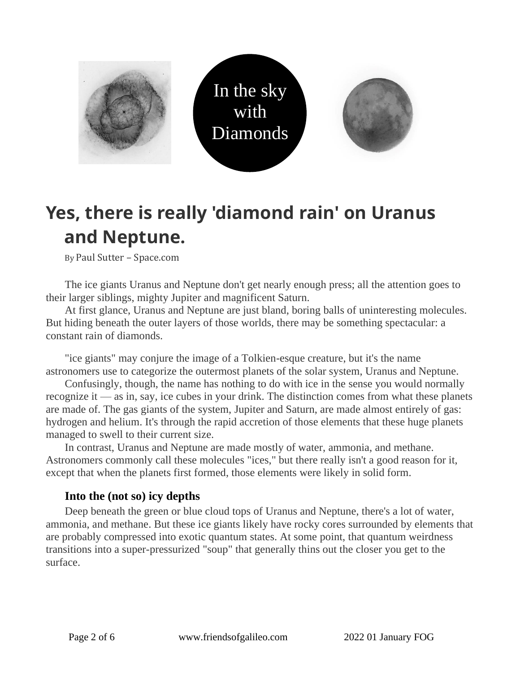

# **Yes, there is really 'diamond rain' on Uranus and Neptune.**

By Paul Sutter – Space.com

The ice giants Uranus and Neptune don't get nearly enough press; all the attention goes to their larger siblings, mighty Jupiter and magnificent Saturn.

At first glance, Uranus and Neptune are just bland, boring balls of uninteresting molecules. But hiding beneath the outer layers of those worlds, there may be something spectacular: a constant rain of diamonds.

"ice giants" may conjure the image of a Tolkien-esque creature, but it's the name astronomers use to categorize the outermost planets of the solar system, Uranus and Neptune.

Confusingly, though, the name has nothing to do with ice in the sense you would normally recognize it — as in, say, ice cubes in your drink. The distinction comes from what these planets are made of. The gas giants of the system, Jupiter and Saturn, are made almost entirely of gas: hydrogen and helium. It's through the rapid accretion of those elements that these huge planets managed to swell to their current size.

In contrast, Uranus and Neptune are made mostly of water, ammonia, and methane. Astronomers commonly call these molecules "ices," but there really isn't a good reason for it, except that when the planets first formed, those elements were likely in solid form.

#### **Into the (not so) icy depths**

Deep beneath the green or blue cloud tops of Uranus and Neptune, there's a lot of water, ammonia, and methane. But these ice giants likely have rocky cores surrounded by elements that are probably compressed into exotic quantum states. At some point, that quantum weirdness transitions into a super-pressurized "soup" that generally thins out the closer you get to the surface.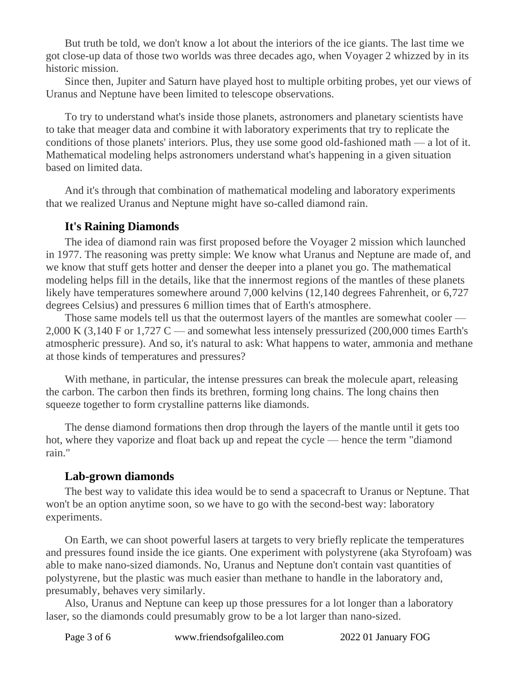But truth be told, we don't know a lot about the interiors of the ice giants. The last time we got close-up data of those two worlds was three decades ago, when Voyager 2 whizzed by in its historic mission.

Since then, Jupiter and Saturn have played host to multiple orbiting probes, yet our views of Uranus and Neptune have been limited to telescope observations.

To try to understand what's inside those planets, astronomers and planetary scientists have to take that meager data and combine it with laboratory experiments that try to replicate the conditions of those planets' interiors. Plus, they use some good old-fashioned math — a lot of it. Mathematical modeling helps astronomers understand what's happening in a given situation based on limited data.

And it's through that combination of mathematical modeling and laboratory experiments that we realized Uranus and Neptune might have so-called diamond rain.

#### **It's Raining Diamonds**

The idea of diamond rain was first proposed before the Voyager 2 mission which launched in 1977. The reasoning was pretty simple: We know what Uranus and Neptune are made of, and we know that stuff gets hotter and denser the deeper into a planet you go. The mathematical modeling helps fill in the details, like that the innermost regions of the mantles of these planets likely have temperatures somewhere around 7,000 kelvins (12,140 degrees Fahrenheit, or 6,727 degrees Celsius) and pressures 6 million times that of Earth's atmosphere.

Those same models tell us that the outermost layers of the mantles are somewhat cooler — 2,000 K (3,140 F or 1,727 C — and somewhat less intensely pressurized (200,000 times Earth's atmospheric pressure). And so, it's natural to ask: What happens to water, ammonia and methane at those kinds of temperatures and pressures?

With methane, in particular, the intense pressures can break the molecule apart, releasing the carbon. The carbon then finds its brethren, forming long chains. The long chains then squeeze together to form crystalline patterns like diamonds.

The dense diamond formations then drop through the layers of the mantle until it gets too hot, where they vaporize and float back up and repeat the cycle — hence the term "diamond rain."

#### **Lab-grown diamonds**

The best way to validate this idea would be to send a spacecraft to Uranus or Neptune. That won't be an option anytime soon, so we have to go with the second-best way: laboratory experiments.

On Earth, we can shoot powerful lasers at targets to very briefly replicate the temperatures and pressures found inside the ice giants. One experiment with polystyrene (aka Styrofoam) was able to make nano-sized diamonds. No, Uranus and Neptune don't contain vast quantities of polystyrene, but the plastic was much easier than methane to handle in the laboratory and, presumably, behaves very similarly.

Also, Uranus and Neptune can keep up those pressures for a lot longer than a laboratory laser, so the diamonds could presumably grow to be a lot larger than nano-sized.

Page 3 of 6 www.friendsofgalileo.com 2022 01 January FOG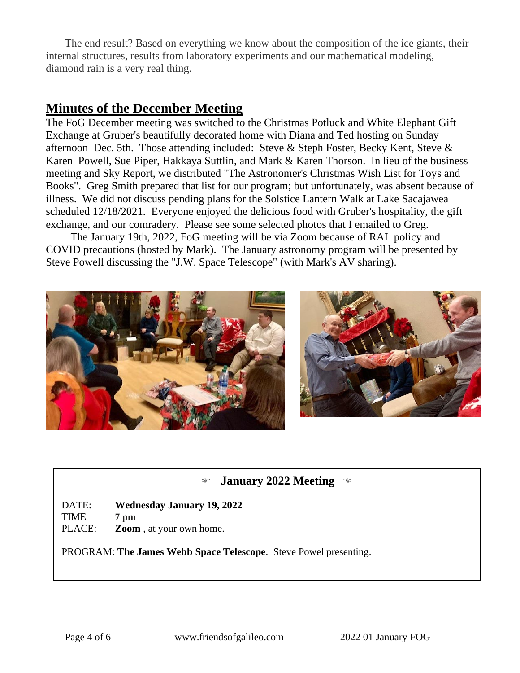The end result? Based on everything we know about the composition of the ice giants, their internal structures, results from laboratory experiments and our mathematical modeling, diamond rain is a very real thing.

### **Minutes of the December Meeting**

The FoG December meeting was switched to the Christmas Potluck and White Elephant Gift Exchange at Gruber's beautifully decorated home with Diana and Ted hosting on Sunday afternoon Dec. 5th. Those attending included: Steve & Steph Foster, Becky Kent, Steve & Karen Powell, Sue Piper, Hakkaya Suttlin, and Mark & Karen Thorson. In lieu of the business meeting and Sky Report, we distributed "The Astronomer's Christmas Wish List for Toys and Books". Greg Smith prepared that list for our program; but unfortunately, was absent because of illness. We did not discuss pending plans for the Solstice Lantern Walk at Lake Sacajawea scheduled 12/18/2021. Everyone enjoyed the delicious food with Gruber's hospitality, the gift exchange, and our comradery. Please see some selected photos that I emailed to Greg.

The January 19th, 2022, FoG meeting will be via Zoom because of RAL policy and COVID precautions (hosted by Mark). The January astronomy program will be presented by Steve Powell discussing the "J.W. Space Telescope" (with Mark's AV sharing).



#### **January 2022 Meeting**

DATE: **Wednesday January 19, 2022**

TIME **7 pm**

PLACE: **Zoom** , at your own home.

PROGRAM: **The James Webb Space Telescope**. Steve Powel presenting.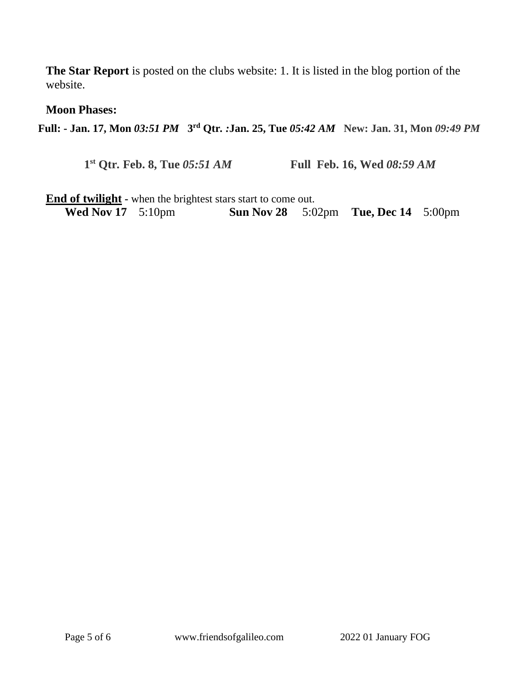**The Star Report** is posted on the clubs website: 1. It is listed in the blog portion of the website.

#### **Moon Phases:**

**Full: - Jan. 17, Mon** *03:51 PM* **3 rd Qtr***. :***Jan. 25, Tue** *05:42 AM* **New: Jan. 31, Mon** *09:49 PM*

**1 st Qtr***.* **Feb. 8, Tue** *05:51 AM* **Full****Feb. 16, Wed** *08:59 AM*

**End of twilight** - when the brightest stars start to come out.<br>Wed Nov 17 5:10pm **Sun Nov 28** 5:0 **Sun Nov 28** 5:02pm **Tue, Dec 14** 5:00pm